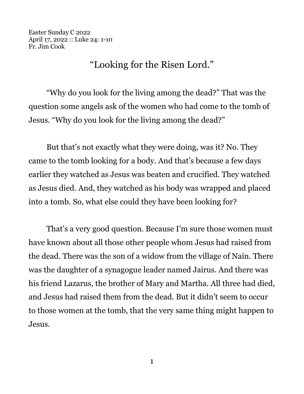Easter Sunday C 2022 April 17, 2022 :: Luke 24: 1-10 Fr. Jim Cook

## "Looking for the Risen Lord."

"Why do you look for the living among the dead?" That was the question some angels ask of the women who had come to the tomb of Jesus. "Why do you look for the living among the dead?"

But that's not exactly what they were doing, was it? No. They came to the tomb looking for a body. And that's because a few days earlier they watched as Jesus was beaten and crucified. They watched as Jesus died. And, they watched as his body was wrapped and placed into a tomb. So, what else could they have been looking for?

That's a very good question. Because I'm sure those women must have known about all those other people whom Jesus had raised from the dead. There was the son of a widow from the village of Nain. There was the daughter of a synagogue leader named Jairus. And there was his friend Lazarus, the brother of Mary and Martha. All three had died, and Jesus had raised them from the dead. But it didn't seem to occur to those women at the tomb, that the very same thing might happen to Jesus.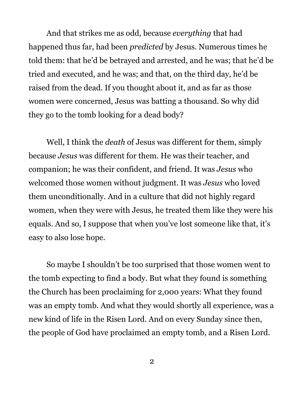And that strikes me as odd, because *everything* that had happened thus far, had been *predicted* by Jesus. Numerous times he told them: that he'd be betrayed and arrested, and he was; that he'd be tried and executed, and he was; and that, on the third day, he'd be raised from the dead. If you thought about it, and as far as those women were concerned, Jesus was batting a thousand. So why did they go to the tomb looking for a dead body?

Well, I think the *death* of Jesus was different for them, simply because *Jesus* was different for them. He was their teacher, and companion; he was their confident, and friend. It was *Jesus* who welcomed those women without judgment. It was *Jesus* who loved them unconditionally. And in a culture that did not highly regard women, when they were with Jesus, he treated them like they were his equals. And so, I suppose that when you've lost someone like that, it's easy to also lose hope.

So maybe I shouldn't be too surprised that those women went to the tomb expecting to find a body. But what they found is something the Church has been proclaiming for 2,000 years: What they found was an empty tomb. And what they would shortly all experience, was a new kind of life in the Risen Lord. And on every Sunday since then, the people of God have proclaimed an empty tomb, and a Risen Lord.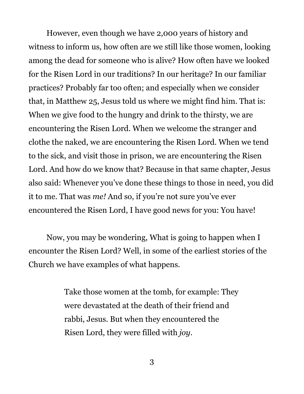However, even though we have 2,000 years of history and witness to inform us, how often are we still like those women, looking among the dead for someone who is alive? How often have we looked for the Risen Lord in our traditions? In our heritage? In our familiar practices? Probably far too often; and especially when we consider that, in Matthew 25, Jesus told us where we might find him. That is: When we give food to the hungry and drink to the thirsty, we are encountering the Risen Lord. When we welcome the stranger and clothe the naked, we are encountering the Risen Lord. When we tend to the sick, and visit those in prison, we are encountering the Risen Lord. And how do we know that? Because in that same chapter, Jesus also said: Whenever you've done these things to those in need, you did it to me. That was *me!* And so, if you're not sure you've ever encountered the Risen Lord, I have good news for you: You have!

Now, you may be wondering, What is going to happen when I encounter the Risen Lord? Well, in some of the earliest stories of the Church we have examples of what happens.

> Take those women at the tomb, for example: They were devastated at the death of their friend and rabbi, Jesus. But when they encountered the Risen Lord, they were filled with *joy*.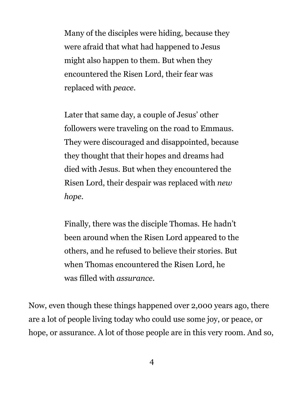Many of the disciples were hiding, because they were afraid that what had happened to Jesus might also happen to them. But when they encountered the Risen Lord, their fear was replaced with *peace*.

Later that same day, a couple of Jesus' other followers were traveling on the road to Emmaus. They were discouraged and disappointed, because they thought that their hopes and dreams had died with Jesus. But when they encountered the Risen Lord, their despair was replaced with *new hope*.

Finally, there was the disciple Thomas. He hadn't been around when the Risen Lord appeared to the others, and he refused to believe their stories. But when Thomas encountered the Risen Lord, he was filled with *assurance*.

Now, even though these things happened over 2,000 years ago, there are a lot of people living today who could use some joy, or peace, or hope, or assurance. A lot of those people are in this very room. And so,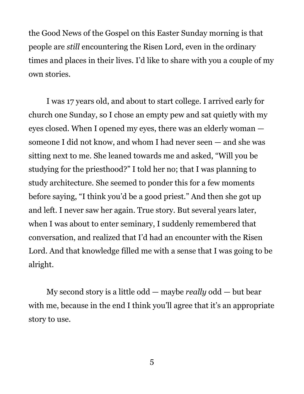the Good News of the Gospel on this Easter Sunday morning is that people are *still* encountering the Risen Lord, even in the ordinary times and places in their lives. I'd like to share with you a couple of my own stories.

I was 17 years old, and about to start college. I arrived early for church one Sunday, so I chose an empty pew and sat quietly with my eyes closed. When I opened my eyes, there was an elderly woman someone I did not know, and whom I had never seen — and she was sitting next to me. She leaned towards me and asked, "Will you be studying for the priesthood?" I told her no; that I was planning to study architecture. She seemed to ponder this for a few moments before saying, "I think you'd be a good priest." And then she got up and left. I never saw her again. True story. But several years later, when I was about to enter seminary, I suddenly remembered that conversation, and realized that I'd had an encounter with the Risen Lord. And that knowledge filled me with a sense that I was going to be alright.

My second story is a little odd — maybe *really* odd — but bear with me, because in the end I think you'll agree that it's an appropriate story to use.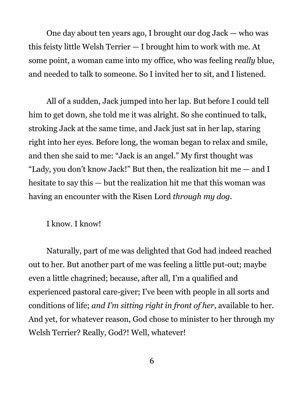One day about ten years ago, I brought our dog Jack — who was this feisty little Welsh Terrier — I brought him to work with me. At some point, a woman came into my office, who was feeling *really* blue, and needed to talk to someone. So I invited her to sit, and I listened.

All of a sudden, Jack jumped into her lap. But before I could tell him to get down, she told me it was alright. So she continued to talk, stroking Jack at the same time, and Jack just sat in her lap, staring right into her eyes. Before long, the woman began to relax and smile, and then she said to me: "Jack is an angel." My first thought was "Lady, you don't know Jack!" But then, the realization hit me  $-$  and I hesitate to say this — but the realization hit me that this woman was having an encounter with the Risen Lord *through my dog*.

I know. I know!

Naturally, part of me was delighted that God had indeed reached out to her. But another part of me was feeling a little put-out; maybe even a little chagrined; because, after all, I'm a qualified and experienced pastoral care-giver; I've been with people in all sorts and conditions of life; *and I'm sitting right in front of her*, available to her. And yet, for whatever reason, God chose to minister to her through my Welsh Terrier? Really, God?! Well, whatever!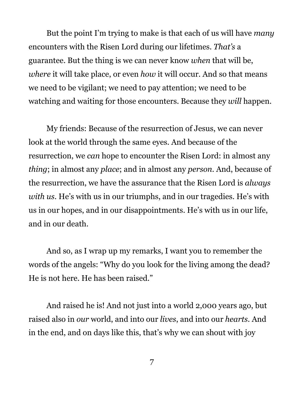But the point I'm trying to make is that each of us will have *many* encounters with the Risen Lord during our lifetimes. *That's* a guarantee. But the thing is we can never know *when* that will be, *where* it will take place, or even *how* it will occur. And so that means we need to be vigilant; we need to pay attention; we need to be watching and waiting for those encounters. Because they *will* happen.

My friends: Because of the resurrection of Jesus, we can never look at the world through the same eyes. And because of the resurrection, we *can* hope to encounter the Risen Lord: in almost any *thing*; in almost any *place*; and in almost any *person*. And, because of the resurrection, we have the assurance that the Risen Lord is *always with us*. He's with us in our triumphs, and in our tragedies. He's with us in our hopes, and in our disappointments. He's with us in our life, and in our death.

And so, as I wrap up my remarks, I want you to remember the words of the angels: "Why do you look for the living among the dead? He is not here. He has been raised."

And raised he is! And not just into a world 2,000 years ago, but raised also in *our* world, and into our *lives*, and into our *hearts*. And in the end, and on days like this, that's why we can shout with joy